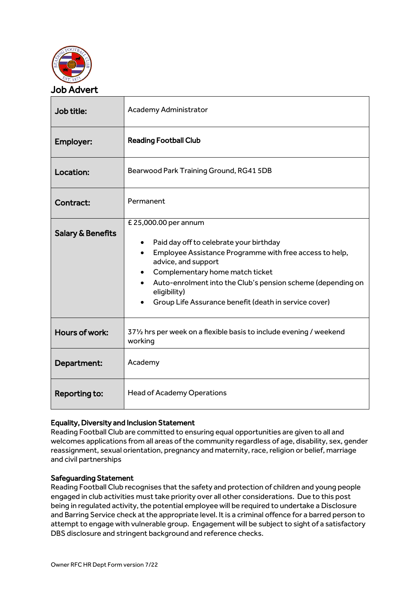

| Job title:                   | <b>Academy Administrator</b>                                                                                                                                                                                                                                                                                                       |  |
|------------------------------|------------------------------------------------------------------------------------------------------------------------------------------------------------------------------------------------------------------------------------------------------------------------------------------------------------------------------------|--|
| Employer:                    | <b>Reading Football Club</b>                                                                                                                                                                                                                                                                                                       |  |
| Location:                    | Bearwood Park Training Ground, RG41 5DB                                                                                                                                                                                                                                                                                            |  |
| Contract:                    | Permanent                                                                                                                                                                                                                                                                                                                          |  |
| <b>Salary &amp; Benefits</b> | £ 25,000.00 per annum<br>Paid day off to celebrate your birthday<br>٠<br>Employee Assistance Programme with free access to help,<br>advice, and support<br>Complementary home match ticket<br>Auto-enrolment into the Club's pension scheme (depending on<br>eligibility)<br>Group Life Assurance benefit (death in service cover) |  |
| Hours of work:               | 371/2 hrs per week on a flexible basis to include evening / weekend<br>working                                                                                                                                                                                                                                                     |  |
| Department:                  | Academy                                                                                                                                                                                                                                                                                                                            |  |
| Reporting to:                | <b>Head of Academy Operations</b>                                                                                                                                                                                                                                                                                                  |  |

## Equality, Diversity and Inclusion Statement

Reading Football Club are committed to ensuring equal opportunities are given to all and welcomes applications from all areas of the community regardless of age, disability, sex, gender reassignment, sexual orientation, pregnancy and maternity, race, religion or belief, marriage and civil partnerships

## Safeguarding Statement

Reading Football Club recognises that the safety and protection of children and young people engaged in club activities must take priority over all other considerations. Due to this post being in regulated activity, the potential employee will be required to undertake a Disclosure and Barring Service check at the appropriate level. It is a criminal offence for a barred person to attempt to engage with vulnerable group. Engagement will be subject to sight of a satisfactory DBS disclosure and stringent background and reference checks.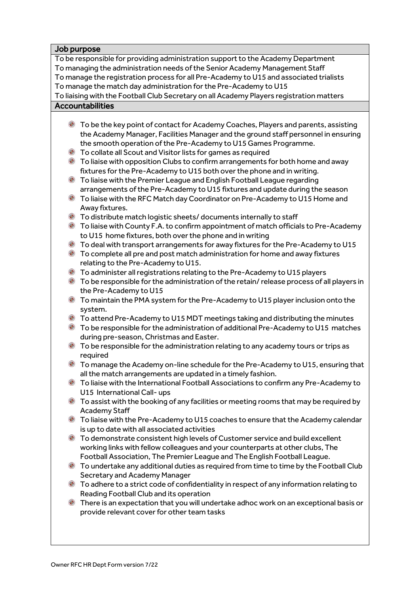## Job purpose To be responsible for providing administration support to the Academy Department To managing the administration needs of the Senior Academy Management Staff To manage the registration process for all Pre-Academy to U15 and associated trialists To manage the match day administration for the Pre-Academy to U15 To liaising with the Football Club Secretary on all Academy Players registration matters **Accountabilities** To be the key point of contact for Academy Coaches, Players and parents, assisting the Academy Manager, Facilities Manager and the ground staff personnel in ensuring the smooth operation of the Pre-Academy to U15 Games Programme. To collate all Scout and Visitor lists for games as required To liaise with opposition Clubs to confirm arrangements for both home and away fixtures for the Pre-Academy to U15 both over the phone and in writing. To liaise with the Premier League and English Football League regarding arrangements of the Pre-Academy to U15 fixtures and update during the season To liaise with the RFC Match day Coordinator on Pre-Academy to U15 Home and Away fixtures. To distribute match logistic sheets/ documents internally to staff To liaise with County F.A. to confirm appointment of match officials to Pre-Academy to U15 home fixtures, both over the phone and in writing To deal with transport arrangements for away fixtures for the Pre-Academy to U15 To complete all pre and post match administration for home and away fixtures relating to the Pre-Academy to U15. To administer all registrations relating to the Pre-Academy to U15 players To be responsible for the administration of the retain/ release process of all players in the Pre-Academy to U15 To maintain the PMA system for the Pre-Academy to U15 player inclusion onto the system. To attend Pre-Academy to U15 MDT meetings taking and distributing the minutes To be responsible for the administration of additional Pre-Academy to U15 matches during pre-season, Christmas and Easter.  $\bullet$  To be responsible for the administration relating to any academy tours or trips as required To manage the Academy on-line schedule for the Pre-Academy to U15, ensuring that all the match arrangements are updated in a timely fashion. To liaise with the International Football Associations to confirm any Pre-Academy to U15 International Call- ups To assist with the booking of any facilities or meeting rooms that may be required by Academy Staff To liaise with the Pre-Academy to U15 coaches to ensure that the Academy calendar is up to date with all associated activities To demonstrate consistent high levels of Customer service and build excellent working links with fellow colleagues and your counterparts at other clubs, The Football Association, The Premier League and The English Football League. To undertake any additional duties as required from time to time by the Football Club Secretary and Academy Manager To adhere to a strict code of confidentiality in respect of any information relating to Reading Football Club and its operation

There is an expectation that you will undertake adhoc work on an exceptional basis or provide relevant cover for other team tasks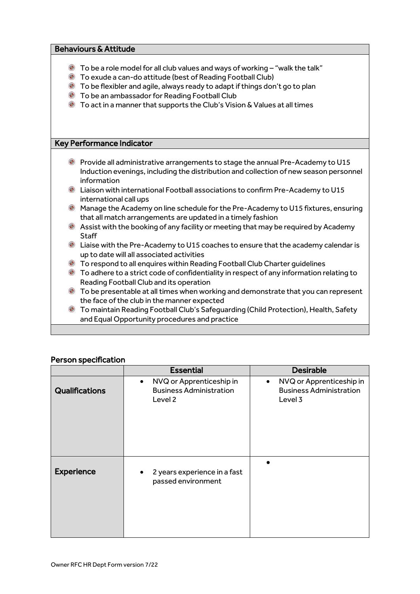| <b>Behaviours &amp; Attitude</b>                                                                                                                                                                                                                                                                                                                                                                                |                                                                                                                                                                                                 |  |  |  |
|-----------------------------------------------------------------------------------------------------------------------------------------------------------------------------------------------------------------------------------------------------------------------------------------------------------------------------------------------------------------------------------------------------------------|-------------------------------------------------------------------------------------------------------------------------------------------------------------------------------------------------|--|--|--|
| $\bullet$<br>To be a role model for all club values and ways of working - "walk the talk"<br><sup>3</sup> To exude a can-do attitude (best of Reading Football Club)<br><b>C</b> To be flexibler and agile, always ready to adapt if things don't go to plan<br><b>C</b> To be an ambassador for Reading Football Club<br>To act in a manner that supports the Club's Vision & Values at all times<br>$\bullet$ |                                                                                                                                                                                                 |  |  |  |
|                                                                                                                                                                                                                                                                                                                                                                                                                 | <b>Key Performance Indicator</b>                                                                                                                                                                |  |  |  |
|                                                                                                                                                                                                                                                                                                                                                                                                                 | <b>E</b> Provide all administrative arrangements to stage the annual Pre-Academy to U15<br>Induction evenings, including the distribution and collection of new season personnel<br>information |  |  |  |
|                                                                                                                                                                                                                                                                                                                                                                                                                 | <b>Example 2</b> Liaison with international Football associations to confirm Pre-Academy to U15<br>international call ups                                                                       |  |  |  |
|                                                                                                                                                                                                                                                                                                                                                                                                                 | Manage the Academy on line schedule for the Pre-Academy to U15 fixtures, ensuring<br>that all match arrangements are updated in a timely fashion                                                |  |  |  |
|                                                                                                                                                                                                                                                                                                                                                                                                                 | Assist with the booking of any facility or meeting that may be required by Academy<br><b>Staff</b>                                                                                              |  |  |  |
|                                                                                                                                                                                                                                                                                                                                                                                                                 | Liaise with the Pre-Academy to U15 coaches to ensure that the academy calendar is<br>up to date will all associated activities                                                                  |  |  |  |
|                                                                                                                                                                                                                                                                                                                                                                                                                 | <sup>3</sup> To respond to all enquires within Reading Football Club Charter guidelines                                                                                                         |  |  |  |
|                                                                                                                                                                                                                                                                                                                                                                                                                 | $\bullet$ To adhere to a strict code of confidentiality in respect of any information relating to<br>Reading Football Club and its operation                                                    |  |  |  |
|                                                                                                                                                                                                                                                                                                                                                                                                                 | <b>C</b> To be presentable at all times when working and demonstrate that you can represent<br>the face of the club in the manner expected                                                      |  |  |  |
| $\bullet$                                                                                                                                                                                                                                                                                                                                                                                                       | To maintain Reading Football Club's Safeguarding (Child Protection), Health, Safety<br>and Equal Opportunity procedures and practice                                                            |  |  |  |
|                                                                                                                                                                                                                                                                                                                                                                                                                 |                                                                                                                                                                                                 |  |  |  |

|                       | <b>Essential</b>                                                                   | <b>Desirable</b>                                                                   |
|-----------------------|------------------------------------------------------------------------------------|------------------------------------------------------------------------------------|
| <b>Qualifications</b> | NVQ or Apprenticeship in<br>$\bullet$<br><b>Business Administration</b><br>Level 2 | NVQ or Apprenticeship in<br>$\bullet$<br><b>Business Administration</b><br>Level 3 |
| <b>Experience</b>     | 2 years experience in a fast<br>$\bullet$<br>passed environment                    |                                                                                    |

## Person specification